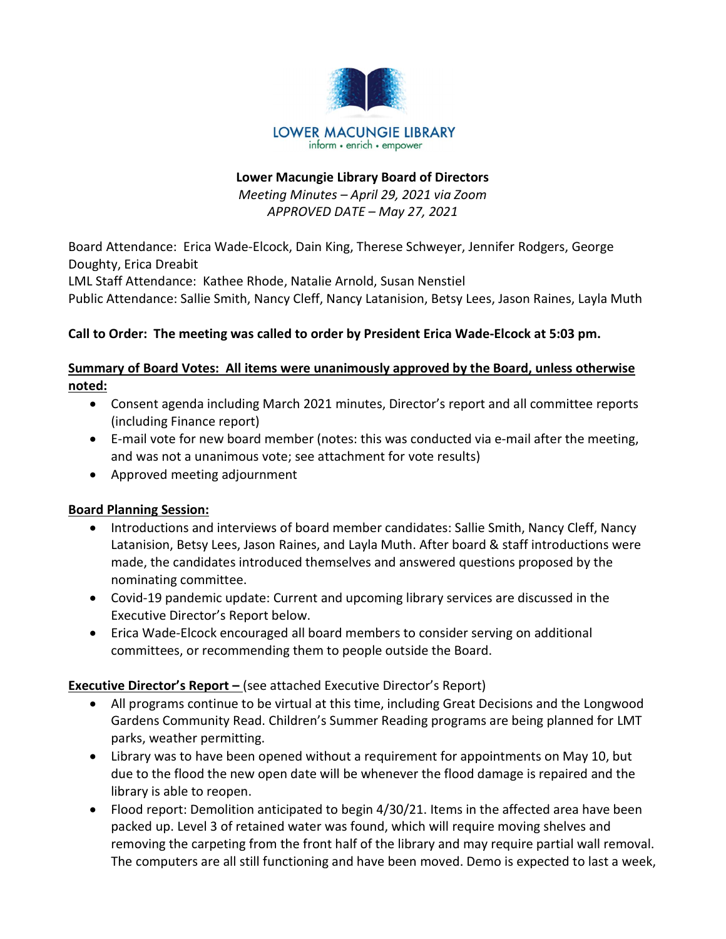

#### Lower Macungie Library Board of Directors

Meeting Minutes – April 29, 2021 via Zoom APPROVED DATE – May 27, 2021

Board Attendance: Erica Wade-Elcock, Dain King, Therese Schweyer, Jennifer Rodgers, George Doughty, Erica Dreabit

LML Staff Attendance: Kathee Rhode, Natalie Arnold, Susan Nenstiel

Public Attendance: Sallie Smith, Nancy Cleff, Nancy Latanision, Betsy Lees, Jason Raines, Layla Muth

#### Call to Order: The meeting was called to order by President Erica Wade-Elcock at 5:03 pm.

### Summary of Board Votes: All items were unanimously approved by the Board, unless otherwise noted:

- Consent agenda including March 2021 minutes, Director's report and all committee reports (including Finance report)
- E-mail vote for new board member (notes: this was conducted via e-mail after the meeting, and was not a unanimous vote; see attachment for vote results)
- Approved meeting adjournment

#### Board Planning Session:

- Introductions and interviews of board member candidates: Sallie Smith, Nancy Cleff, Nancy Latanision, Betsy Lees, Jason Raines, and Layla Muth. After board & staff introductions were made, the candidates introduced themselves and answered questions proposed by the nominating committee.
- Covid-19 pandemic update: Current and upcoming library services are discussed in the Executive Director's Report below.
- Erica Wade-Elcock encouraged all board members to consider serving on additional committees, or recommending them to people outside the Board.

## Executive Director's Report – (see attached Executive Director's Report)

- All programs continue to be virtual at this time, including Great Decisions and the Longwood Gardens Community Read. Children's Summer Reading programs are being planned for LMT parks, weather permitting.
- Library was to have been opened without a requirement for appointments on May 10, but due to the flood the new open date will be whenever the flood damage is repaired and the library is able to reopen.
- Flood report: Demolition anticipated to begin 4/30/21. Items in the affected area have been packed up. Level 3 of retained water was found, which will require moving shelves and removing the carpeting from the front half of the library and may require partial wall removal. The computers are all still functioning and have been moved. Demo is expected to last a week,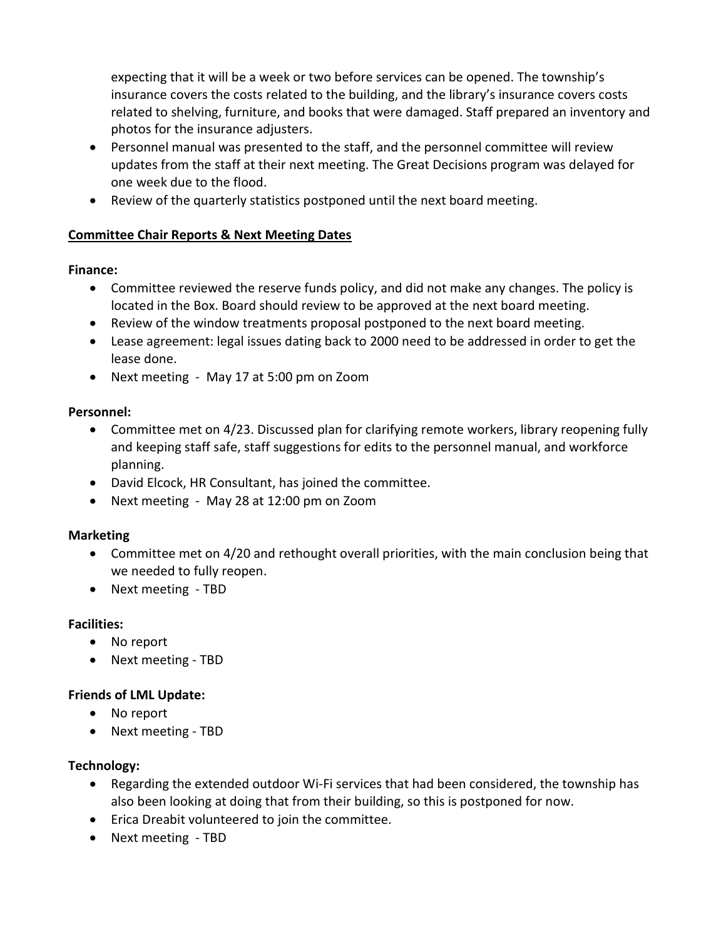expecting that it will be a week or two before services can be opened. The township's insurance covers the costs related to the building, and the library's insurance covers costs related to shelving, furniture, and books that were damaged. Staff prepared an inventory and photos for the insurance adjusters.

- Personnel manual was presented to the staff, and the personnel committee will review updates from the staff at their next meeting. The Great Decisions program was delayed for one week due to the flood.
- Review of the quarterly statistics postponed until the next board meeting.

## Committee Chair Reports & Next Meeting Dates

#### Finance:

- Committee reviewed the reserve funds policy, and did not make any changes. The policy is located in the Box. Board should review to be approved at the next board meeting.
- Review of the window treatments proposal postponed to the next board meeting.
- Lease agreement: legal issues dating back to 2000 need to be addressed in order to get the lease done.
- Next meeting May 17 at 5:00 pm on Zoom

#### Personnel:

- Committee met on 4/23. Discussed plan for clarifying remote workers, library reopening fully and keeping staff safe, staff suggestions for edits to the personnel manual, and workforce planning.
- David Elcock, HR Consultant, has joined the committee.
- Next meeting May 28 at 12:00 pm on Zoom

## Marketing

- Committee met on 4/20 and rethought overall priorities, with the main conclusion being that we needed to fully reopen.
- Next meeting TBD

## Facilities:

- No report
- Next meeting TBD

## Friends of LML Update:

- No report
- Next meeting TBD

#### Technology:

- Regarding the extended outdoor Wi-Fi services that had been considered, the township has also been looking at doing that from their building, so this is postponed for now.
- Erica Dreabit volunteered to join the committee.
- Next meeting TBD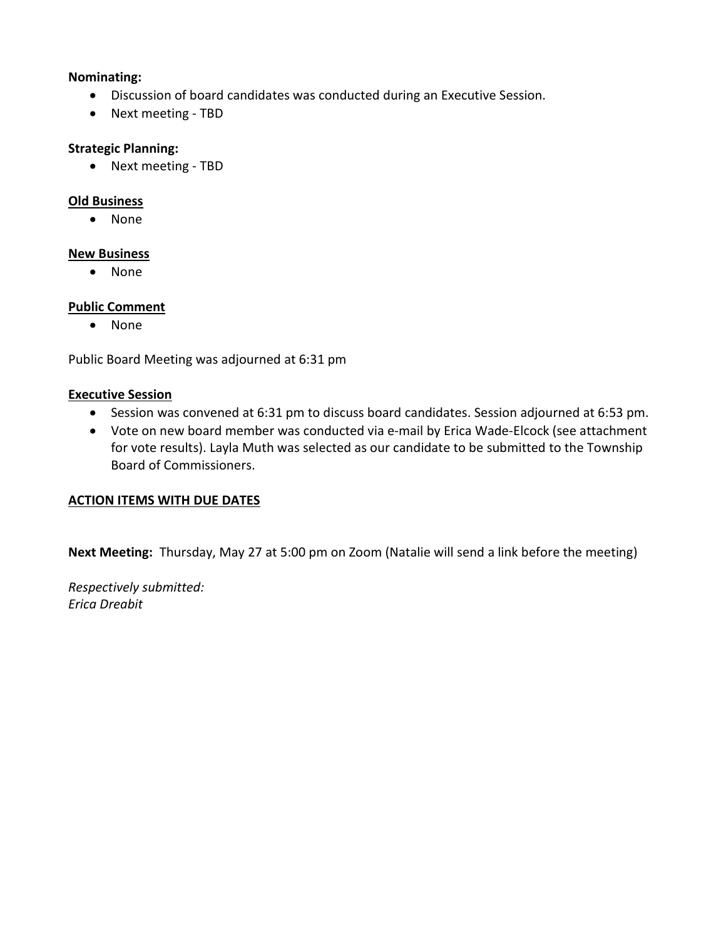#### Nominating:

- Discussion of board candidates was conducted during an Executive Session.
- Next meeting TBD

#### Strategic Planning:

• Next meeting - TBD

#### Old Business

None

#### New Business

• None

#### Public Comment

• None

Public Board Meeting was adjourned at 6:31 pm

#### Executive Session

- Session was convened at 6:31 pm to discuss board candidates. Session adjourned at 6:53 pm.
- Vote on new board member was conducted via e-mail by Erica Wade-Elcock (see attachment for vote results). Layla Muth was selected as our candidate to be submitted to the Township Board of Commissioners.

#### ACTION ITEMS WITH DUE DATES

Next Meeting: Thursday, May 27 at 5:00 pm on Zoom (Natalie will send a link before the meeting)

Respectively submitted: Erica Dreabit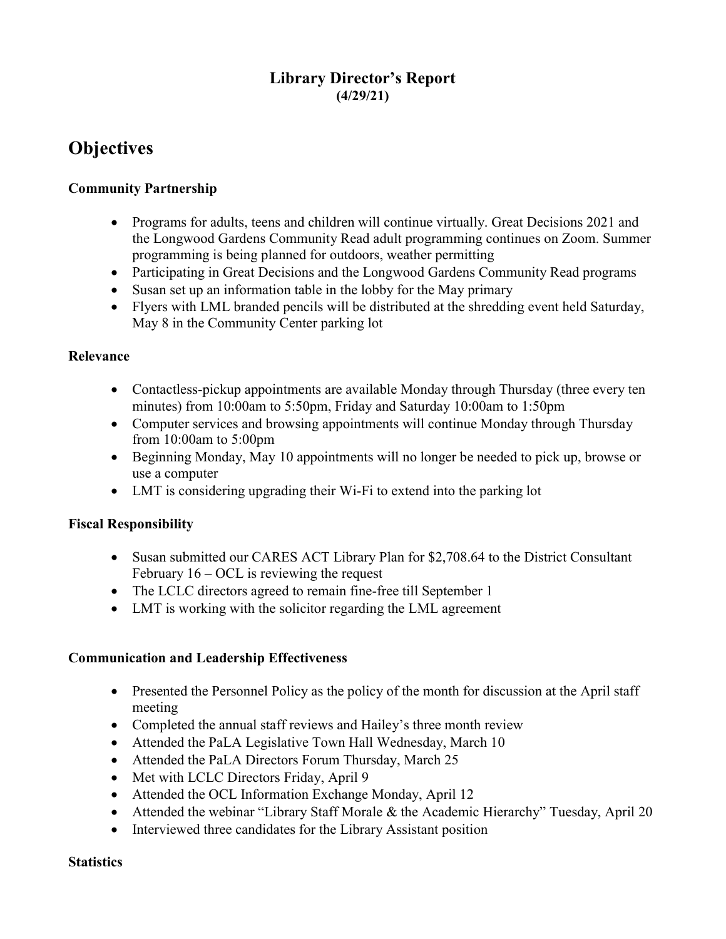## Library Director's Report (4/29/21)

# **Objectives**

## Community Partnership

- Programs for adults, teens and children will continue virtually. Great Decisions 2021 and the Longwood Gardens Community Read adult programming continues on Zoom. Summer programming is being planned for outdoors, weather permitting
- Participating in Great Decisions and the Longwood Gardens Community Read programs
- Susan set up an information table in the lobby for the May primary
- Flyers with LML branded pencils will be distributed at the shredding event held Saturday, May 8 in the Community Center parking lot

#### Relevance

- Contactless-pickup appointments are available Monday through Thursday (three every ten minutes) from 10:00am to 5:50pm, Friday and Saturday 10:00am to 1:50pm
- Computer services and browsing appointments will continue Monday through Thursday from 10:00am to 5:00pm
- Beginning Monday, May 10 appointments will no longer be needed to pick up, browse or use a computer
- LMT is considering upgrading their Wi-Fi to extend into the parking lot

## Fiscal Responsibility

- Susan submitted our CARES ACT Library Plan for \$2,708.64 to the District Consultant February  $16 - OCL$  is reviewing the request
- The LCLC directors agreed to remain fine-free till September 1
- LMT is working with the solicitor regarding the LML agreement

#### Communication and Leadership Effectiveness

- Presented the Personnel Policy as the policy of the month for discussion at the April staff meeting
- Completed the annual staff reviews and Hailey's three month review
- Attended the PaLA Legislative Town Hall Wednesday, March 10
- Attended the PaLA Directors Forum Thursday, March 25
- Met with LCLC Directors Friday, April 9
- Attended the OCL Information Exchange Monday, April 12
- Attended the webinar "Library Staff Morale & the Academic Hierarchy" Tuesday, April 20
- Interviewed three candidates for the Library Assistant position

#### **Statistics**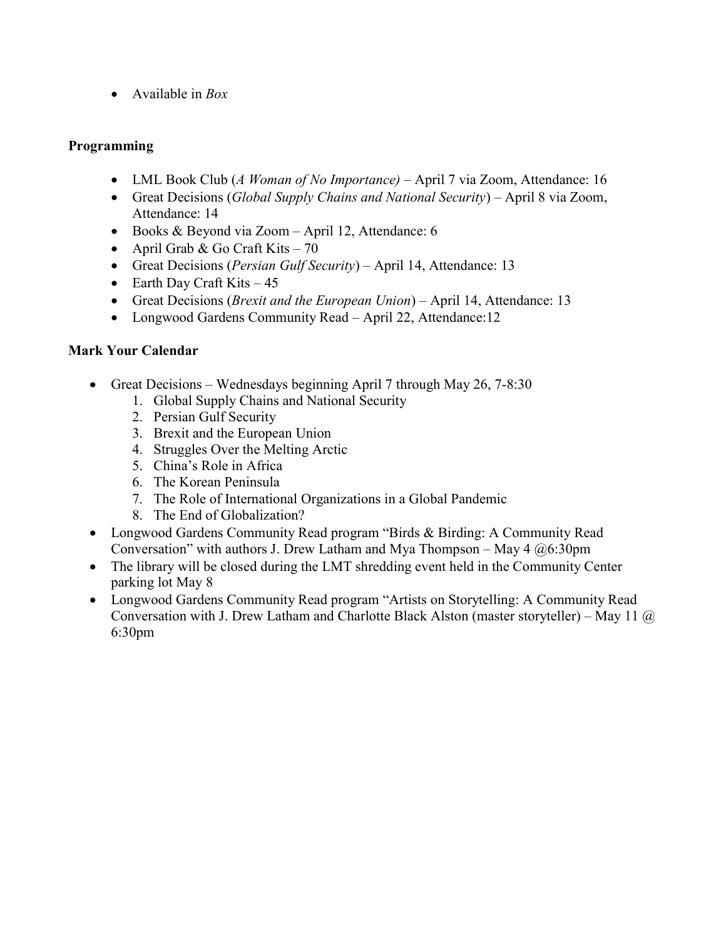• Available in  $Box$ 

### Programming

- LML Book Club (A Woman of No Importance) April 7 via Zoom, Attendance: 16
- Great Decisions (Global Supply Chains and National Security) April 8 via Zoom, Attendance: 14
- Books & Beyond via Zoom April 12, Attendance: 6
- April Grab & Go Craft Kits  $70$
- Great Decisions (Persian Gulf Security) April 14, Attendance: 13
- Earth Day Craft Kits  $-45$
- Great Decisions (*Brexit and the European Union*) April 14, Attendance: 13
- Longwood Gardens Community Read April 22, Attendance:12

## Mark Your Calendar

- Great Decisions Wednesdays beginning April 7 through May  $26$ ,  $7-8:30$ 
	- 1. Global Supply Chains and National Security
	- 2. Persian Gulf Security
	- 3. Brexit and the European Union
	- 4. Struggles Over the Melting Arctic
	- 5. China's Role in Africa
	- 6. The Korean Peninsula
	- 7. The Role of International Organizations in a Global Pandemic
	- 8. The End of Globalization?
- Longwood Gardens Community Read program "Birds & Birding: A Community Read Conversation" with authors J. Drew Latham and Mya Thompson – May  $4 \ (a) 6:30 \text{pm}$
- The library will be closed during the LMT shredding event held in the Community Center parking lot May 8
- Longwood Gardens Community Read program "Artists on Storytelling: A Community Read Conversation with J. Drew Latham and Charlotte Black Alston (master storyteller) – May 11  $\omega$ 6:30pm